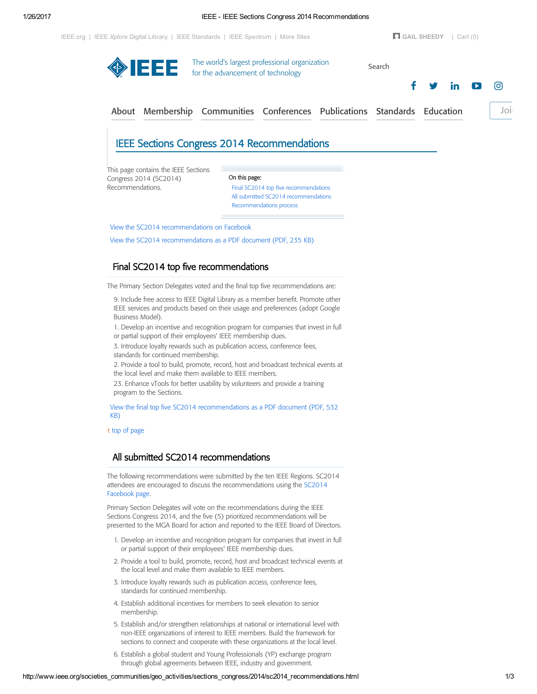| On this page:<br>Final SC2014 top five recommendations<br>All submitted SC2014 recommendations |                                             |                                                                           |
|------------------------------------------------------------------------------------------------|---------------------------------------------|---------------------------------------------------------------------------|
| Recommendations process                                                                        |                                             |                                                                           |
|                                                                                                | IEEE Sections Congress 2014 Recommendations | About Membership Communities Conferences Publications Standards Education |

# <span id="page-0-0"></span>Final SC2014 top five recommendations

The Primary Section Delegates voted and the final top five recommendations are:

9. Include free access to IEEE Digital Library as a member benefit. Promote other IEEE services and products based on their usage and preferences (adopt Google Business Model).

1. Develop an incentive and recognition program for companies that invest in full

or partial support of their employees' IEEE membership dues.

3. Introduce loyalty rewards such as publication access, conference fees, standards for continued membership.

2. Provide a tool to build, promote, record, host and broadcast technical events at the local level and make them available to IEEE members.

23. Enhance vTools for better usability by volunteers and provide a training program to the Sections.

View the final top five SC2014 [recommendations](http://www.ieee.org/societies_communities/geo_activities/sections_congress/2014/sc2014_final_recommendations.pdf) as a PDF document (PDF, 532 KB)

t top of page

## <span id="page-0-1"></span>All submitted SC2014 recommendations

The following recommendations were submitted by the ten IEEE Regions. SC2014 attendees are encouraged to discuss the [recommendations](https://www.facebook.com/IEEESC) using the SC2014 Facebook page.

Primary Section Delegates will vote on the recommendations during the IEEE Sections Congress 2014, and the five (5) prioritized recommendations will be presented to the MGA Board for action and reported to the IEEE Board of Directors.

- 1. Develop an incentive and recognition program for companies that invest in full or partial support of their employees' IEEE membership dues.
- 2. Provide a tool to build, promote, record, host and broadcast technical events at the local level and make them available to IEEE members.
- 3. Introduce loyalty rewards such as publication access, conference fees, standards for continued membership.
- 4. Establish additional incentives for members to seek elevation to senior membership.
- 5. Establish and/or strengthen relationships at national or international level with non-IEEE organizations of interest to IEEE members. Build the framework for sections to connect and cooperate with these organizations at the local level.
- 6. Establish a global student and Young Professionals (YP) exchange program through global agreements between IEEE, industry and government.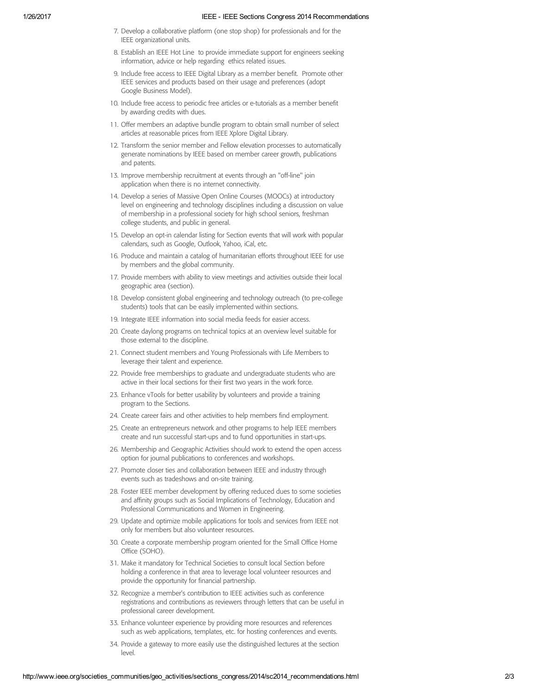#### 1/26/2017 IEEE IEEE Sections Congress 2014 Recommendations

- 7. Develop a collaborative platform (one stop shop) for professionals and for the IEEE organizational units.
- 8. Establish an IEEE Hot Line to provide immediate support for engineers seeking information, advice or help regarding ethics related issues.
- 9. Include free access to IEEE Digital Library as a member benefit. Promote other IEEE services and products based on their usage and preferences (adopt Google Business Model).
- 10. Include free access to periodic free articles or e-tutorials as a member benefit by awarding credits with dues.
- 11. Offer members an adaptive bundle program to obtain small number of select articles at reasonable prices from IEEE Xplore Digital Library.
- 12. Transform the senior member and Fellow elevation processes to automatically generate nominations by IEEE based on member career growth, publications and patents.
- 13. Improve membership recruitment at events through an "off-line" join application when there is no internet connectivity.
- 14. Develop a series of Massive Open Online Courses (MOOCs) at introductory level on engineering and technology disciplines including a discussion on value of membership in a professional society for high school seniors, freshman college students, and public in general.
- 15. Develop an opt-in calendar listing for Section events that will work with popular calendars, such as Google, Outlook, Yahoo, iCal, etc.
- 16. Produce and maintain a catalog of humanitarian efforts throughout IEEE for use by members and the global community.
- 17. Provide members with ability to view meetings and activities outside their local geographic area (section).
- 18. Develop consistent global engineering and technology outreach (to pre-college students) tools that can be easily implemented within sections.
- 19. Integrate IEEE information into social media feeds for easier access.
- 20. Create daylong programs on technical topics at an overview level suitable for those external to the discipline.
- 21. Connect student members and Young Professionals with Life Members to leverage their talent and experience.
- 22. Provide free memberships to graduate and undergraduate students who are active in their local sections for their first two years in the work force.
- 23. Enhance vTools for better usability by volunteers and provide a training program to the Sections.
- 24. Create career fairs and other activities to help members find employment.
- 25. Create an entrepreneurs network and other programs to help IEEE members create and run successful start-ups and to fund opportunities in start-ups.
- 26. Membership and Geographic Activities should work to extend the open access option for journal publications to conferences and workshops.
- 27. Promote closer ties and collaboration between IEEE and industry through events such as tradeshows and on-site training.
- 28. Foster IEEE member development by offering reduced dues to some societies and affinity groups such as Social Implications of Technology, Education and Professional Communications and Women in Engineering.
- 29. Update and optimize mobile applications for tools and services from IEEE not only for members but also volunteer resources.
- 30. Create a corporate membership program oriented for the Small Office Home Office (SOHO).
- 31. Make it mandatory for Technical Societies to consult local Section before holding a conference in that area to leverage local volunteer resources and provide the opportunity for financial partnership.
- 32. Recognize a member's contribution to IEEE activities such as conference registrations and contributions as reviewers through letters that can be useful in professional career development.
- 33. Enhance volunteer experience by providing more resources and references such as web applications, templates, etc. for hosting conferences and events.
- 34. Provide a gateway to more easily use the distinguished lectures at the section level.